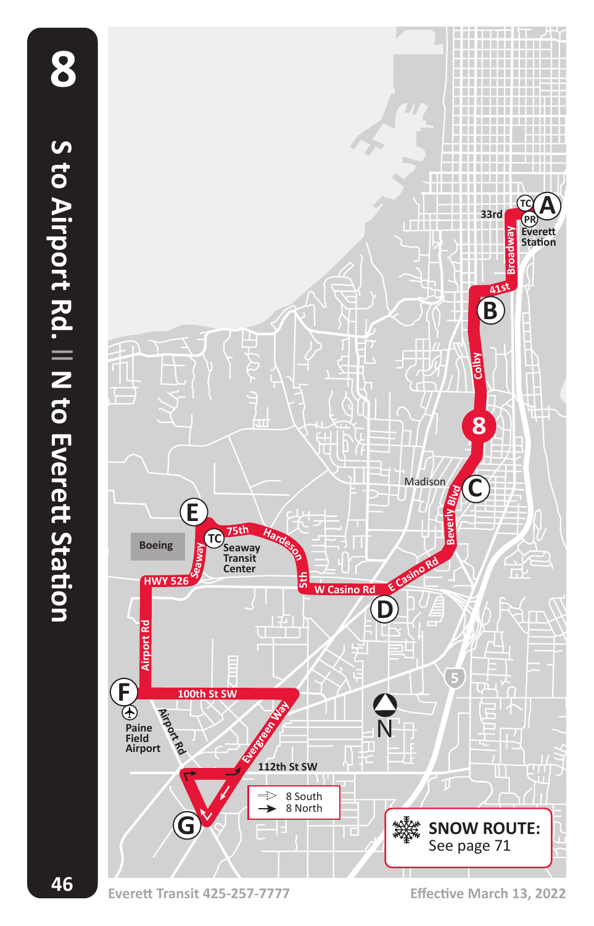**46**

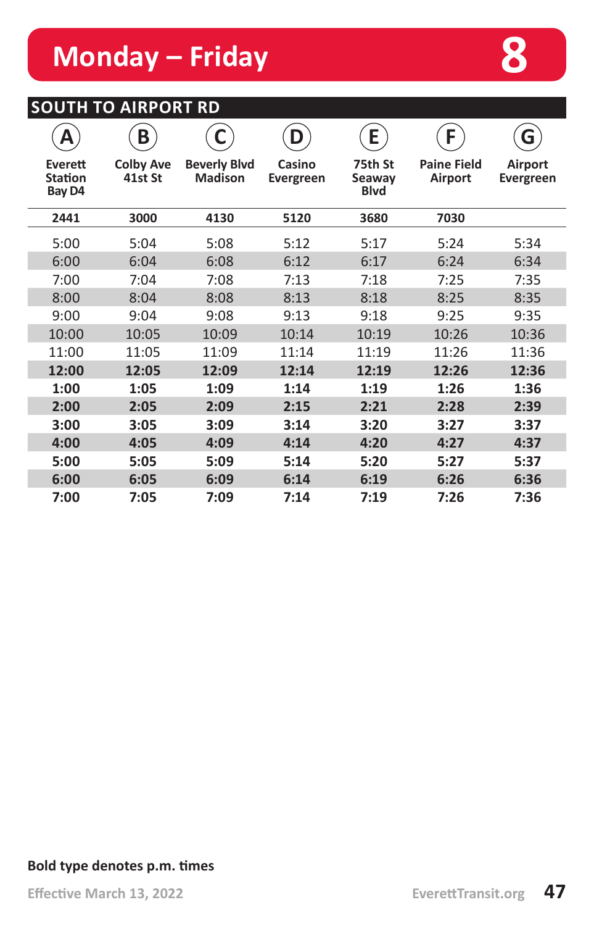# **Monday – Friday and Algebra 8**

## **SOUTH TO AIRPORT RD**

| Α                                   | B                           | С                                     | D                   | E                                | F                                    | G                           |
|-------------------------------------|-----------------------------|---------------------------------------|---------------------|----------------------------------|--------------------------------------|-----------------------------|
| Everett<br><b>Station</b><br>Bay D4 | <b>Colby Ave</b><br>41st St | <b>Beverly Blvd</b><br><b>Madison</b> | Casino<br>Evergreen | 75th St<br>Seaway<br><b>Blvd</b> | <b>Paine Field</b><br><b>Airport</b> | Airport<br><b>Evergreen</b> |
| 2441                                | 3000                        | 4130                                  | 5120                | 3680                             | 7030                                 |                             |
| 5:00                                | 5:04                        | 5:08                                  | 5:12                | 5:17                             | 5:24                                 | 5:34                        |
| 6:00                                | 6:04                        | 6:08                                  | 6:12                | 6:17                             | 6:24                                 | 6:34                        |
| 7:00                                | 7:04                        | 7:08                                  | 7:13                | 7:18                             | 7:25                                 | 7:35                        |
| 8:00                                | 8:04                        | 8:08                                  | 8:13                | 8:18                             | 8:25                                 | 8:35                        |
| 9:00                                | 9:04                        | 9:08                                  | 9:13                | 9:18                             | 9:25                                 | 9:35                        |
| 10:00                               | 10:05                       | 10:09                                 | 10:14               | 10:19                            | 10:26                                | 10:36                       |
| 11:00                               | 11:05                       | 11:09                                 | 11:14               | 11:19                            | 11:26                                | 11:36                       |
| 12:00                               | 12:05                       | 12:09                                 | 12:14               | 12:19                            | 12:26                                | 12:36                       |
| 1:00                                | 1:05                        | 1:09                                  | 1:14                | 1:19                             | 1:26                                 | 1:36                        |
| 2:00                                | 2:05                        | 2:09                                  | 2:15                | 2:21                             | 2:28                                 | 2:39                        |
| 3:00                                | 3:05                        | 3:09                                  | 3:14                | 3:20                             | 3:27                                 | 3:37                        |
| 4:00                                | 4:05                        | 4:09                                  | 4:14                | 4:20                             | 4:27                                 | 4:37                        |
| 5:00                                | 5:05                        | 5:09                                  | 5:14                | 5:20                             | 5:27                                 | 5:37                        |
| 6:00                                | 6:05                        | 6:09                                  | 6:14                | 6:19                             | 6:26                                 | 6:36                        |
| 7:00                                | 7:05                        | 7:09                                  | 7:14                | 7:19                             | 7:26                                 | 7:36                        |

#### **Bold type denotes p.m. times**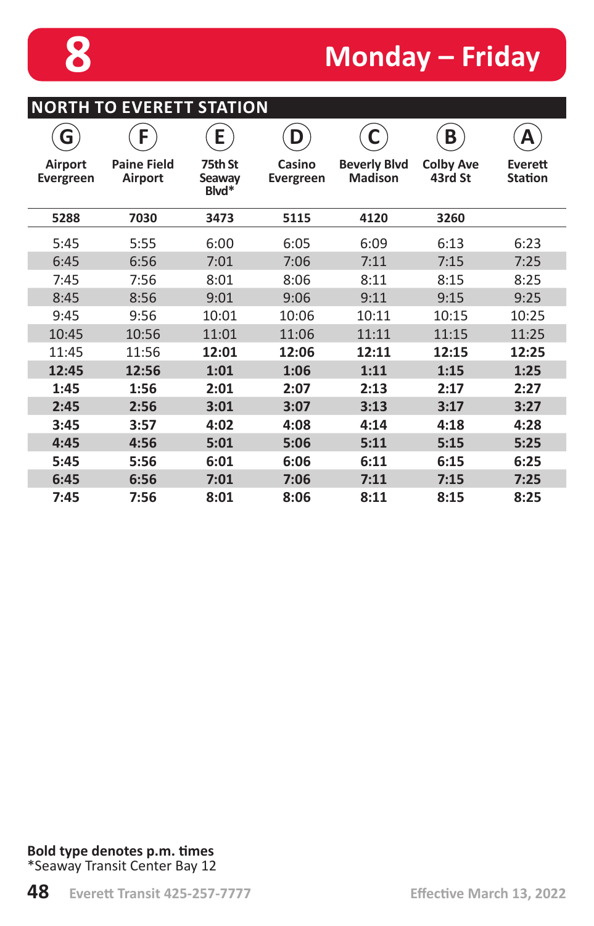**NORTH TO EVERETT STATION**

# **8 Monday – Friday**

| ------<br>◡                 |                                      |                            |                     |                                       |                             |                           |  |  |
|-----------------------------|--------------------------------------|----------------------------|---------------------|---------------------------------------|-----------------------------|---------------------------|--|--|
| G                           | F                                    | E                          | D                   | C                                     | B                           | Α                         |  |  |
| Airport<br><b>Evergreen</b> | <b>Paine Field</b><br><b>Airport</b> | 75th St<br>Seaway<br>Blvd* | Casino<br>Evergreen | <b>Beverly Blvd</b><br><b>Madison</b> | <b>Colby Ave</b><br>43rd St | Everett<br><b>Station</b> |  |  |
| 5288                        | 7030                                 | 3473                       | 5115                | 4120                                  | 3260                        |                           |  |  |
| 5:45                        | 5:55                                 | 6:00                       | 6:05                | 6:09                                  | 6:13                        | 6:23                      |  |  |
| 6:45                        | 6:56                                 | 7:01                       | 7:06                | 7:11                                  | 7:15                        | 7:25                      |  |  |
| 7:45                        | 7:56                                 | 8:01                       | 8:06                | 8:11                                  | 8:15                        | 8:25                      |  |  |
| 8:45                        | 8:56                                 | 9:01                       | 9:06                | 9:11                                  | 9:15                        | 9:25                      |  |  |
| 9:45                        | 9:56                                 | 10:01                      | 10:06               | 10:11                                 | 10:15                       | 10:25                     |  |  |
| 10:45                       | 10:56                                | 11:01                      | 11:06               | 11:11                                 | 11:15                       | 11:25                     |  |  |
| 11:45                       | 11:56                                | 12:01                      | 12:06               | 12:11                                 | 12:15                       | 12:25                     |  |  |
| 12:45                       | 12:56                                | 1:01                       | 1:06                | 1:11                                  | 1:15                        | 1:25                      |  |  |
| 1:45                        | 1:56                                 | 2:01                       | 2:07                | 2:13                                  | 2:17                        | 2:27                      |  |  |
| 2:45                        | 2:56                                 | 3:01                       | 3:07                | 3:13                                  | 3:17                        | 3:27                      |  |  |
| 3:45                        | 3:57                                 | 4:02                       | 4:08                | 4:14                                  | 4:18                        | 4:28                      |  |  |
| 4:45                        | 4:56                                 | 5:01                       | 5:06                | 5:11                                  | 5:15                        | 5:25                      |  |  |
| 5:45                        | 5:56                                 | 6:01                       | 6:06                | 6:11                                  | 6:15                        | 6:25                      |  |  |
| 6:45                        | 6:56                                 | 7:01                       | 7:06                | 7:11                                  | 7:15                        | 7:25                      |  |  |
| 7:45                        | 7:56                                 | 8:01                       | 8:06                | 8:11                                  | 8:15                        | 8:25                      |  |  |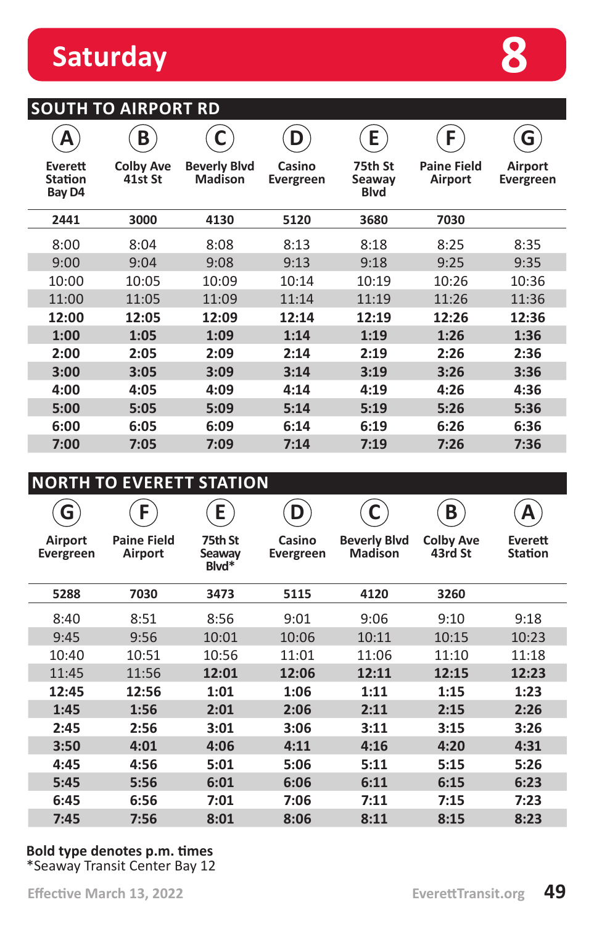# **Saturday 8**

### **SOUTH TO AIRPORT RD**

| А                                   | B                           |                                       | D                   | E                                | F                             | G                           |
|-------------------------------------|-----------------------------|---------------------------------------|---------------------|----------------------------------|-------------------------------|-----------------------------|
| Everett<br><b>Station</b><br>Bay D4 | <b>Colby Ave</b><br>41st St | <b>Beverly Blvd</b><br><b>Madison</b> | Casino<br>Evergreen | 75th St<br>Seaway<br><b>Blvd</b> | <b>Paine Field</b><br>Airport | Airport<br><b>Evergreen</b> |
| 2441                                | 3000                        | 4130                                  | 5120                | 3680                             | 7030                          |                             |
| 8:00                                | 8:04                        | 8:08                                  | 8:13                | 8:18                             | 8:25                          | 8:35                        |
| 9:00                                | 9:04                        | 9:08                                  | 9:13                | 9:18                             | 9:25                          | 9:35                        |
| 10:00                               | 10:05                       | 10:09                                 | 10:14               | 10:19                            | 10:26                         | 10:36                       |
| 11:00                               | 11:05                       | 11:09                                 | 11:14               | 11:19                            | 11:26                         | 11:36                       |
| 12:00                               | 12:05                       | 12:09                                 | 12:14               | 12:19                            | 12:26                         | 12:36                       |
| 1:00                                | 1:05                        | 1:09                                  | 1:14                | 1:19                             | 1:26                          | 1:36                        |
| 2:00                                | 2:05                        | 2:09                                  | 2:14                | 2:19                             | 2:26                          | 2:36                        |
| 3:00                                | 3:05                        | 3:09                                  | 3:14                | 3:19                             | 3:26                          | 3:36                        |
| 4:00                                | 4:05                        | 4:09                                  | 4:14                | 4:19                             | 4:26                          | 4:36                        |
| 5:00                                | 5:05                        | 5:09                                  | 5:14                | 5:19                             | 5:26                          | 5:36                        |
| 6:00                                | 6:05                        | 6:09                                  | 6:14                | 6:19                             | 6:26                          | 6:36                        |
| 7:00                                | 7:05                        | 7:09                                  | 7:14                | 7:19                             | 7:26                          | 7:36                        |

### **NORTH TO EVERETT STATION**

| G                           | F                             | E                          | D                   | С                                     | B                           | А                         |
|-----------------------------|-------------------------------|----------------------------|---------------------|---------------------------------------|-----------------------------|---------------------------|
| Airport<br><b>Evergreen</b> | <b>Paine Field</b><br>Airport | 75th St<br>Seaway<br>Blvd* | Casino<br>Evergreen | <b>Beverly Blvd</b><br><b>Madison</b> | <b>Colby Ave</b><br>43rd St | Everett<br><b>Station</b> |
| 5288                        | 7030                          | 3473                       | 5115                | 4120                                  | 3260                        |                           |
| 8:40                        | 8:51                          | 8:56                       | 9:01                | 9:06                                  | 9:10                        | 9:18                      |
| 9:45                        | 9:56                          | 10:01                      | 10:06               | 10:11                                 | 10:15                       | 10:23                     |
| 10:40                       | 10:51                         | 10:56                      | 11:01               | 11:06                                 | 11:10                       | 11:18                     |
| 11:45                       | 11:56                         | 12:01                      | 12:06               | 12:11                                 | 12:15                       | 12:23                     |
| 12:45                       | 12:56                         | 1:01                       | 1:06                | 1:11                                  | 1:15                        | 1:23                      |
| 1:45                        | 1:56                          | 2:01                       | 2:06                | 2:11                                  | 2:15                        | 2:26                      |
| 2:45                        | 2:56                          | 3:01                       | 3:06                | 3:11                                  | 3:15                        | 3:26                      |
| 3:50                        | 4:01                          | 4:06                       | 4:11                | 4:16                                  | 4:20                        | 4:31                      |
| 4:45                        | 4:56                          | 5:01                       | 5:06                | 5:11                                  | 5:15                        | 5:26                      |
| 5:45                        | 5:56                          | 6:01                       | 6:06                | 6:11                                  | 6:15                        | 6:23                      |
| 6:45                        | 6:56                          | 7:01                       | 7:06                | 7:11                                  | 7:15                        | 7:23                      |
| 7:45                        | 7:56                          | 8:01                       | 8:06                | 8:11                                  | 8:15                        | 8:23                      |

#### **Bold type denotes p.m. times** \*Seaway Transit Center Bay 12